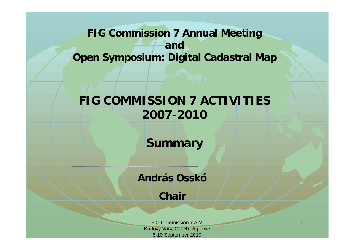### **FIG Commission 7 Annual Meeting andOpen Symposium: Digital Cadastral Map**

# **FIG COMMISSION 7 ACTIVITIES 2007-2010**

**Summary**

**András Osskó**

**Chair**

FIG Commission 7 A MKarlovy Vary, Czech Republic 6-10 September 2010

1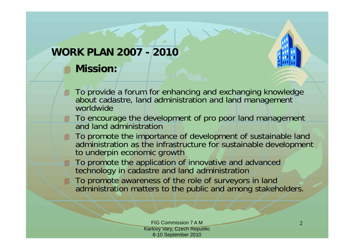#### **WORK PLAN 2007 - 2010**

#### **Mission:**

- **To provide a forum for enhancing and exchanging knowledge** about cadastre, land administration and land management worldwide
- **To encourage the development of pro poor land management** and land administration
- To promote the importance of development of sustainable land administration as the infrastructure for sustainable development to underpin economic growth
- **To promote the application of innovative and advanced** technology in cadastre and land administration
- To promote awareness of the role of surveyors in land administration matters to the public and among stakeholders.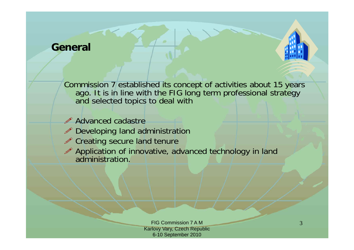#### **General**

Commission 7 established its concept of activities about 15 years ago. It is in line with the FIG long term professional strategy and selected topics to deal with

*●* Advanced cadastre

- $\mathscr P$  Developing land administration
- $\mathscr P$  Creating secure land tenure

 $\mathscr P$  Application of innovative, advanced technology in land administration.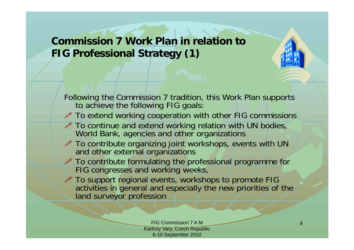## **Commission 7 Work Plan in relation to FIG Professional Strategy (1)**

Following the Commission 7 tradition, this Work Plan supports to achieve the following FIG goals:

- $\mathscr P$  To extend working cooperation with other FIG commissions
- $\mathscr P$  To continue and extend working relation with UN bodies, World Bank, agencies and other organizations
- $\mathscr P$  To contribute organizing joint workshops, events with UN and other external organizations
- $\mathscr P$  To contribute formulating the professional programme for FIG congresses and working weeks,
- $\mathscr P$  To support regional events, workshops to promote FIG activities in general and especially the new priorities of the land surveyor profession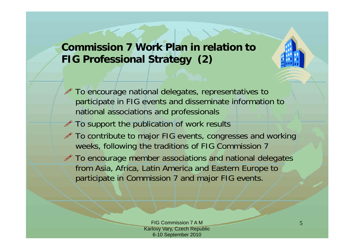### **Commission 7 Work Plan in relation to FIG Professional Strategy (2)**

- $\mathscr P$  To encourage national delegates, representatives to participate in FIG events and disseminate information to national associations and professionals
- $\mathscr P$  To support the publication of work results
- $\mathscr P$  To contribute to major FIG events, congresses and working weeks, following the traditions of FIG Commission 7
- $\mathscr P$  To encourage member associations and national delegates from Asia, Africa, Latin America and Eastern Europe to participate in Commission 7 and major FIG events.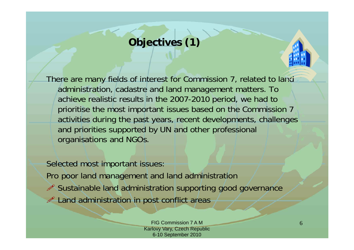## **Objectives (1)**

There are many fields of interest for Commission 7, related to land administration, cadastre and land management matters. To achieve realistic results in the 2007-2010 period, we had to prioritise the most important issues based on the Commission 7 activities during the past years, recent developments, challenges and priorities supported by UN and other professional organisations and NGOs.

Selected most important issues: Pro poor land management and land administration Sustainable land administration supporting good governance  $\mathscr P$  Land administration in post conflict areas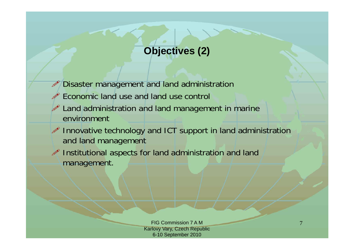## **Objectives (2)**

- Ø Disaster management and land administration
- Ø Economic land use and land use control
- $\mathscr P$  Land administration and land management in marine environment
- $\mathscr{P}$  Innovative technology and ICT support in land administration and land management
- $\mathscr P$  Institutional aspects for land administration and land management.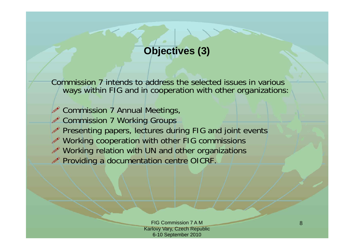## **Objectives (3)**

Commission 7 intends to address the selected issues in various ways within FIG and in cooperation with other organizations:

- Commission 7 Annual Meetings,
- *●* Commission 7 Working Groups
- $\mathscr P$  Presenting papers, lectures during FIG and joint events
- Working cooperation with other FIG commissions
- $\mathscr P$  Working relation with UN and other organizations
- Providing a documentation centre OICRF.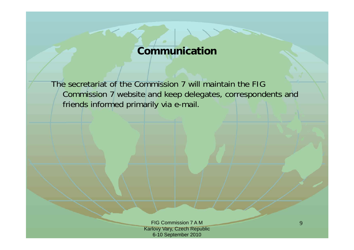#### **Communication**

The secretariat of the Commission 7 will maintain the FIG Commission 7 website and keep delegates, correspondents and friends informed primarily via e-mail.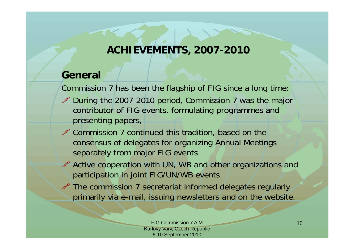### **ACHIEVEMENTS, 2007-2010**

#### **General**

Commission 7 has been the flagship of FIG since a long time:

- $\mathscr P$  During the 2007-2010 period, Commission 7 was the major contributor of FIG events, formulating programmes and presenting papers,
- $\mathscr P$  Commission 7 continued this tradition, based on the consensus of delegates for organizing Annual Meetings separately from major FIG events
- $\mathscr P$  Active cooperation with UN, WB and other organizations and participation in joint FIG/UN/WB events
- $\mathscr P$  The commission 7 secretariat informed delegates regularly primarily via e-mail, issuing newsletters and on the website.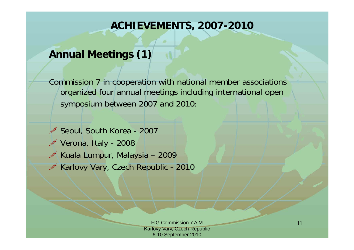#### **ACHIEVEMENTS, 2007-2010**

### **Annual Meetings (1)**

Commission 7 in cooperation with national member associations organized four annual meetings including international open symposium between 2007 and 2010:

- Seoul, South Korea 2007
- Verona, Italy 2008
- $\mathscr{P}$  Kuala Lumpur, Malaysia 2009
- Karlovy Vary, Czech Republic 2010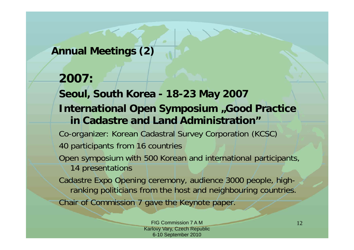#### **Annual Meetings (2)**

### **2007:**

**Seoul, South Korea - 18-23 May 2007 International Open Symposium "Good Practice in Cadastre and Land Administration"**

Co-organizer: Korean Cadastral Survey Corporation (KCSC) 40 participants from 16 countries

Open symposium with 500 Korean and international participants, 14 presentations

Cadastre Expo Opening ceremony, audience 3000 people, highranking politicians from the host and neighbouring countries. Chair of Commission 7 gave the Keynote paper.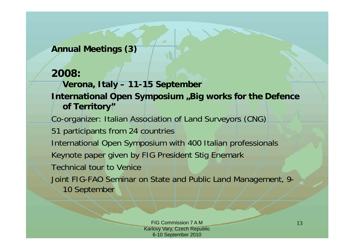#### **Annual Meetings (3)**

#### **2008:**

**Verona, Italy – 11-15 September International Open Symposium "Big works for the Defence of Territory"** Co-organizer: Italian Association of Land Surveyors (CNG) 51 participants from 24 countries International Open Symposium with 400 Italian professionals Keynote paper given by FIG President Stig Enemark Technical tour to VeniceJoint FIG-FAO Seminar on State and Public Land Management, 9- 10 September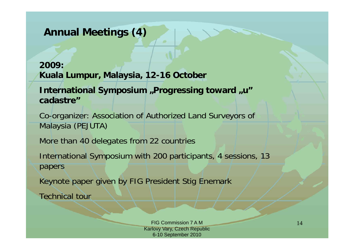### **Annual Meetings (4)**

#### **2009:Kuala Lumpur, Malaysia, 12-16 October**

#### International Symposium "Progressing toward "u" **cadastre"**

Co-organizer: Association of Authorized Land Surveyors of Malaysia (PEJUTA)

More than 40 delegates from 22 countries

International Symposium with 200 participants, 4 sessions, 13 papers

Keynote paper given by FIG President Stig Enemark

Technical tour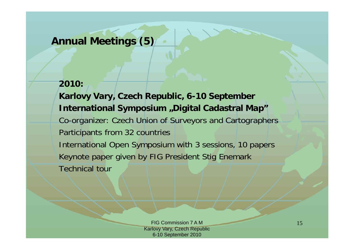#### **Annual Meetings (5)**

## **2010: Karlovy Vary, Czech Republic, 6-10 September International Symposium "Digital Cadastral Map"** Co-organizer: Czech Union of Surveyors and Cartographers Participants from 32 countries International Open Symposium with 3 sessions, 10 papers Keynote paper given by FIG President Stig Enemark Technical tour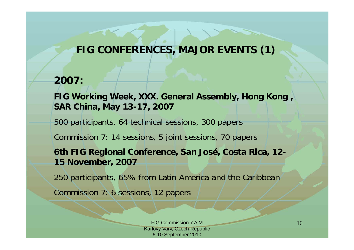## **FIG CONFERENCES, MAJOR EVENTS (1)**

#### **2007:**

**FIG Working Week, XXX. General Assembly, Hong Kong , SAR China, May 13-17, 2007**

500 participants, 64 technical sessions, 300 papers

Commission 7: 14 sessions, 5 joint sessions, 70 papers

**6th FIG Regional Conference, San José, Costa Rica, 12- 15 November, 2007**

250 participants, 65% from Latin-America and the Caribbean

Commission 7: 6 sessions, 12 papers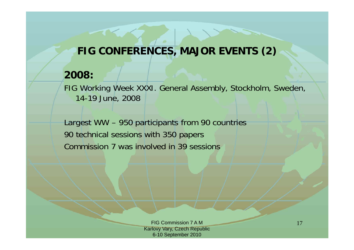### **FIG CONFERENCES, MAJOR EVENTS (2)**

#### **2008:**

FIG Working Week XXXI. General Assembly, Stockholm, Sweden, 14-19 June, 2008

Largest WW – 950 participants from 90 countries 90 technical sessions with 350 papers Commission 7 was involved in 39 sessions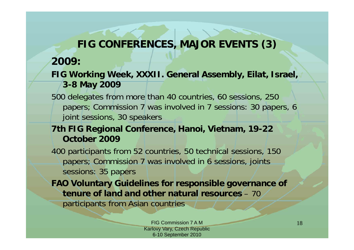## **FIG CONFERENCES, MAJOR EVENTS (3)**

#### **2009:**

- **FIG Working Week, XXXII. General Assembly, Eilat, Israel, 3-8 May 2009**
- 500 delegates from more than 40 countries, 60 sessions, 250 papers; Commission 7 was involved in 7 sessions: 30 papers, 6 joint sessions, 30 speakers

#### **7th FIG Regional Conference, Hanoi, Vietnam, 19-22 October 2009**

400 participants from 52 countries, 50 technical sessions, 150 papers; Commission 7 was involved in 6 sessions, joints sessions: 35 papers

**FAO Voluntary Guidelines for responsible governance of tenure of land and other natural resources** – 70 participants from Asian countries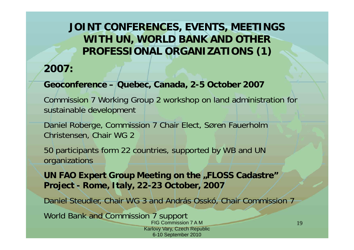### **JOINT CONFERENCES, EVENTS, MEETINGS WITH UN, WORLD BANK AND OTHER PROFESSIONAL ORGANIZATIONS (1)**

#### **2007:**

#### **Geoconference – Quebec, Canada, 2-5 October 2007**

Commission 7 Working Group 2 workshop on land administration for sustainable development

Daniel Roberge, Commission 7 Chair Elect, SØren Fauerholm Christensen, Chair WG 2

50 participants form 22 countries, supported by WB and UN organizations

**UN FAO Expert Group Meeting on the "FLOSS Cadastre" Project - Rome, Italy, 22-23 October, 2007**

Daniel Steudler, Chair WG 3 and András Osskó, Chair Commission 7

World Bank and Commission 7 support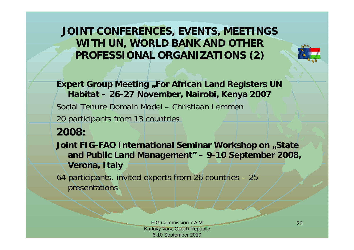**JOINT CONFERENCES, EVENTS, MEETINGS WITH UN, WORLD BANK AND OTHER PROFESSIONAL ORGANIZATIONS (2)**

**Expert Group Meeting "For African Land Registers UN Habitat – 26-27 November, Nairobi, Kenya 2007** Social Tenure Domain Model – Christiaan Lemmen20 participants from 13 countries **2008: Joint FIG-FAO International Seminar Workshop on "State and Public Land Management" – 9-10 September 2008, Verona, Italy** 64 participants, invited experts from 26 countries – 25

presentations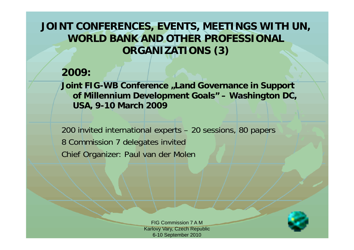### **JOINT CONFERENCES, EVENTS, MEETINGS WITH UN, WORLD BANK AND OTHER PROFESSIONAL ORGANIZATIONS (3)**

#### **2009:**

**Joint FIG-WB Conference "Land Governance in Support of Millennium Development Goals" – Washington DC, USA, 9-10 March 2009**

200 invited international experts – 20 sessions, 80 papers 8 Commission 7 delegates invited Chief Organizer: Paul van der Molen

> FIG Commission 7 A MKarlovy Vary, Czech Republic 6-10 September 2010

21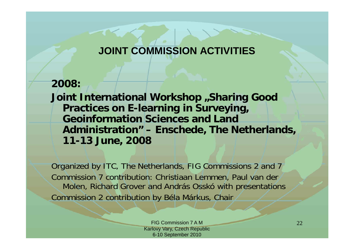## **JOINT COMMISSION ACTIVITIES**

#### **2008: Joint International Workshop "Sharing Good Practices on E-learning in Surveying, Geoinformation Sciences and Land Administration" – Enschede, The Netherlands, 11-13 June, 2008**

Organized by ITC, The Netherlands, FIG Commissions 2 and 7 Commission 7 contribution: Christiaan Lemmen, Paul van der Molen, Richard Grover and András Osskó with presentations Commission 2 contribution by Béla Márkus, Chair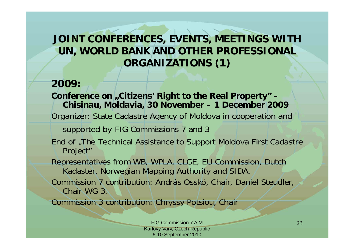### **JOINT CONFERENCES, EVENTS, MEETINGS WITH UN, WORLD BANK AND OTHER PROFESSIONAL ORGANIZATIONS (1)**

#### **2009:**

Conference on "Citizens' Right to the Real Property" – **Chisinau, Moldavia, 30 November – 1 December 2009** Organizer: State Cadastre Agency of Moldova in cooperation and

supported by FIG Commissions 7 and 3

End of "The Technical Assistance to Support Moldova First Cadastre Project"

Representatives from WB, WPLA, CLGE, EU Commission, Dutch Kadaster, Norwegian Mapping Authority and SIDA.

Commission 7 contribution: András Osskó, Chair, Daniel Steudler, Chair WG 3.

Commission 3 contribution: Chryssy Potsiou, Chair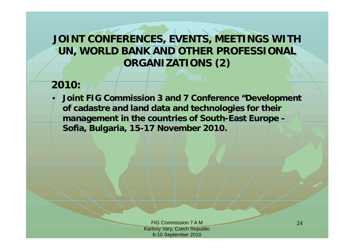## **JOINT CONFERENCES, EVENTS, MEETINGS WITH UN, WORLD BANK AND OTHER PROFESSIONAL ORGANIZATIONS (2)**

#### **2010:**

 $\bullet$ 

 **Joint FIG Commission 3 and 7 Conference "Development of cadastre and land data and technologies for their management in the countries of South-East Europe – Sofia, Bulgaria, 15-17 November 2010.**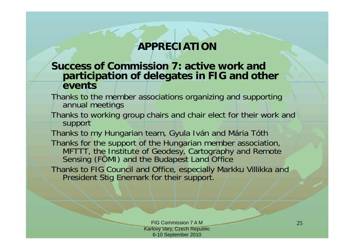### **APPRECIATION**

#### **Success of Commission 7: active work and participation of delegates in FIG and other events**

- Thanks to the member associations organizing and supporting annual meetings
- Thanks to working group chairs and chair elect for their work and support

Thanks to my Hungarian team, Gyula Iván and Mária Tóth Thanks for the support of the Hungarian member association, MFTTT, the Institute of Geodesy, Cartography and Remote Sensing (FÖMI) and the Budapest Land Office

Thanks to FIG Council and Office, especially Markku Villikka and President Stig Enemark for their support.